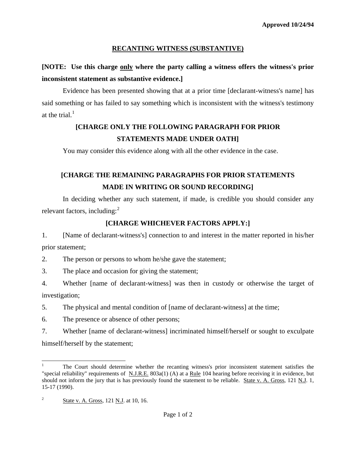### **RECANTING WITNESS (SUBSTANTIVE)**

# **[NOTE: Use this charge only where the party calling a witness offers the witness's prior inconsistent statement as substantive evidence.]**

 Evidence has been presented showing that at a prior time [declarant-witness's name] has said something or has failed to say something which is inconsistent with the witness's testimony at the trial. $<sup>1</sup>$  $<sup>1</sup>$  $<sup>1</sup>$ </sup>

# **[CHARGE ONLY THE FOLLOWING PARAGRAPH FOR PRIOR STATEMENTS MADE UNDER OATH]**

You may consider this evidence along with all the other evidence in the case.

# **[CHARGE THE REMAINING PARAGRAPHS FOR PRIOR STATEMENTS MADE IN WRITING OR SOUND RECORDING]**

 In deciding whether any such statement, if made, is credible you should consider any relevant factors, including: $<sup>2</sup>$  $<sup>2</sup>$  $<sup>2</sup>$ </sup>

## **[CHARGE WHICHEVER FACTORS APPLY:]**

1. [Name of declarant-witness's] connection to and interest in the matter reported in his/her prior statement;

2. The person or persons to whom he/she gave the statement;

3. The place and occasion for giving the statement;

4. Whether [name of declarant-witness] was then in custody or otherwise the target of investigation;

5. The physical and mental condition of [name of declarant-witness] at the time;

6. The presence or absence of other persons;

7. Whether [name of declarant-witness] incriminated himself/herself or sought to exculpate himself/herself by the statement;

 $\overline{a}$ 

<span id="page-0-0"></span><sup>1</sup> The Court should determine whether the recanting witness's prior inconsistent statement satisfies the "special reliability" requirements of N.J.R.E.  $803a(1)$  (A) at a Rule 104 hearing before receiving it in evidence, but should not inform the jury that is has previously found the statement to be reliable. State v. A. Gross, 121 N.J. 1, 15-17 (1990).

<span id="page-0-2"></span><span id="page-0-1"></span><sup>2</sup> State v. A. Gross, 121 N.J. at 10, 16.